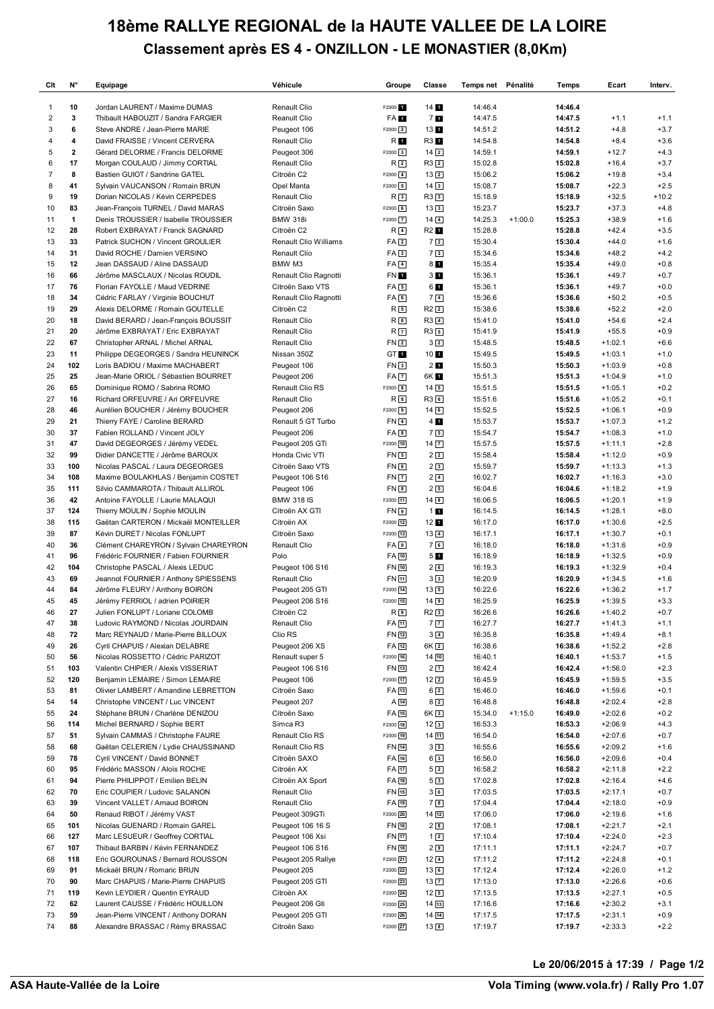## **18ème RALLYE REGIONAL de la HAUTE VALLEE DE LA LOIRE Classement après ES 4 - ONZILLON - LE MONASTIER (8,0Km)**

| Clt                     | N°                 | Equipage                                                                 | Véhicule                           | Groupe                               | Classe                 | Temps net Pénalité |           | Temps              | Ecart                  | Interv.          |
|-------------------------|--------------------|--------------------------------------------------------------------------|------------------------------------|--------------------------------------|------------------------|--------------------|-----------|--------------------|------------------------|------------------|
| 1                       | 10                 | Jordan LAURENT / Maxime DUMAS                                            | Renault Clio                       | F2000 <sub>1</sub>                   | $14$ $\blacksquare$    | 14:46.4            |           | 14:46.4            |                        |                  |
| $\overline{\mathbf{c}}$ | 3                  | Thibault HABOUZIT / Sandra FARGIER                                       | Reanult Clio                       | FA 1                                 | <b>71</b>              | 14:47.5            |           | 14:47.5            | $+1.1$                 | $+1.1$           |
| 3                       | 6                  | Steve ANDRE / Jean-Pierre MARIE                                          | Peugeot 106                        | F2000 2                              | 13 1                   | 14:51.2            |           | 14:51.2            | $+4.8$                 | $+3.7$           |
| 4                       | 4                  | David FRAISSE / Vincent CERVERA                                          | Renault Clio                       | R 1                                  | R3 1                   | 14:54.8            |           | 14:54.8            | $+8.4$                 | $+3.6$           |
| 5                       | $\mathbf{2}$       | Gérard DELORME / Francis DELORME                                         | Peugeot 306                        | $F2000$ 3                            | $14\sqrt{2}$           | 14:59.1            |           | 14:59.1            | $+12.7$                | $+4.3$           |
| 6                       | 17                 | Morgan COULAUD / Jimmy CORTIAL                                           | Renault Clio                       | R <sub>2</sub>                       | $R3$ 2                 | 15:02.8            |           | 15:02.8            | $+16.4$                | $+3.7$           |
| $\overline{7}$          | 8                  | Bastien GUIOT / Sandrine GATEL                                           | Citroën C2                         | $F2000$ $4$                          | $13\sqrt{2}$           | 15:06.2            |           | 15:06.2            | $+19.8$                | $+3.4$           |
| 8                       | 41                 | Sylvain VAUCANSON / Romain BRUN                                          | Opel Manta                         | $F2000$ 5                            | $14\sqrt{3}$           | 15:08.7            |           | 15:08.7            | $+22.3$                | $+2.5$           |
| 9                       | 19                 | Dorian NICOLAS / Kévin CERPEDES                                          | Renault Clio                       | R <sub>3</sub>                       | R33                    | 15:18.9            |           | 15:18.9            | $+32.5$                | $+10.2$          |
| 10                      | 83                 | Jean-François TURNEL / David MARAS                                       | Citroën Saxo                       | $F2000$ 6                            | $13\sqrt{3}$           | 15:23.7            |           | 15:23.7            | $+37.3$                | $+4.8$           |
| 11<br>12                | $\mathbf{1}$<br>28 | Denis TROUSSIER / Isabelle TROUSSIER<br>Robert EXBRAYAT / Franck SAGNARD | <b>BMW 318i</b><br>Citroën C2      | F2000 7<br>$R$ 4                     | $14\sqrt{4}$           | 14:25.3<br>15:28.8 | $+1:00.0$ | 15:25.3<br>15:28.8 | $+38.9$<br>$+42.4$     | $+1.6$<br>$+3.5$ |
| 13                      | 33                 | Patrick SUCHON / Vincent GROULIER                                        | Renault Clio Williams              | FA <sub>2</sub>                      | R2 1<br>72             | 15:30.4            |           | 15:30.4            | $+44.0$                | $+1.6$           |
| 14                      | 31                 | David ROCHE / Damien VERSINO                                             | Renault Clio                       | FA3                                  | 73                     | 15:34.6            |           | 15:34.6            | $+48.2$                | $+4.2$           |
| 15                      | 12                 | Jean DASSAUD / Aline DASSAUD                                             | BMW M3                             | $FA$ $4$                             | 81                     | 15:35.4            |           | 15:35.4            | $+49.0$                | $+0.8$           |
| 16                      | 66                 | Jérôme MASCLAUX / Nicolas ROUDIL                                         | Renault Clio Ragnotti              | FN 1                                 | 3 <sub>1</sub>         | 15:36.1            |           | 15:36.1            | $+49.7$                | $+0.7$           |
| 17                      | 76                 | Florian FAYOLLE / Maud VEDRINE                                           | Citroën Saxo VTS                   | $FA$ 5                               | 6 <b>H</b>             | 15:36.1            |           | 15:36.1            | $+49.7$                | $+0.0$           |
| 18                      | 34                 | Cédric FARLAY / Virginie BOUCHUT                                         | Renault Clio Ragnotti              | FA6                                  | 7 <sub>4</sub>         | 15:36.6            |           | 15:36.6            | $+50.2$                | $+0.5$           |
| 19                      | 29                 | Alexis DELORME / Romain GOUTELLE                                         | Citroën C2                         | $R_{5}$                              | $R2$ $2$               | 15:38.6            |           | 15:38.6            | $+52.2$                | $+2.0$           |
| 20                      | 18                 | David BERARD / Jean-François BOUSSIT                                     | Renault Clio                       | $R_{6}$                              | $R3\vert 4$            | 15:41.0            |           | 15:41.0            | $+54.6$                | $+2.4$           |
| 21                      | 20                 | Jérôme EXBRAYAT / Eric EXBRAYAT                                          | Renault Clio                       | R <sub>7</sub>                       | R3 5                   | 15:41.9            |           | 15:41.9            | $+55.5$                | $+0.9$           |
| 22                      | 67                 | Christopher ARNAL / Michel ARNAL                                         | Renault Clio                       | FN <sub>2</sub>                      | $3\sqrt{2}$            | 15:48.5            |           | 15:48.5            | $+1:02.1$              | $+6.6$           |
| 23                      | 11                 | Philippe DEGEORGES / Sandra HEUNINCK                                     | Nissan 350Z                        | GT <sub>1</sub>                      | 10 <sub>1</sub>        | 15:49.5            |           | 15:49.5            | $+1:03.1$              | $+1.0$           |
| 24                      | 102                | Loris BADIOU / Maxime MACHABERT                                          | Peugeot 106                        | FN <sub>3</sub>                      | 2 <sub>1</sub>         | 15:50.3            |           | 15:50.3            | $+1:03.9$              | $+0.8$           |
| 25                      | 25                 | Jean-Marie ORIOL / Sébastien BOURRET                                     | Peugeot 206                        | <b>FA</b> 7                          | 6K 1                   | 15:51.3            |           | 15:51.3            | $+1:04.9$              | $+1.0$           |
| 26                      | 65                 | Dominique ROMO / Sabrina ROMO                                            | Renault Clio RS                    | F2000 8                              | $14\overline{5}$       | 15:51.5            |           | 15:51.5            | $+1:05.1$              | $+0.2$           |
| 27                      | 16                 | Richard ORFEUVRE / Ari ORFEUVRE                                          | Renault Clio                       | R8                                   | R36                    | 15:51.6            |           | 15:51.6            | $+1:05.2$              | $+0.1$           |
| 28                      | 46<br>21           | Aurélien BOUCHER / Jérémy BOUCHER<br>Thierry FAYE / Caroline BERARD      | Peugeot 206                        | F2000 9                              | 146                    | 15:52.5            |           | 15:52.5            | $+1:06.1$              | $+0.9$           |
| 29<br>30                | 37                 | Fabien ROLLAND / Vincent JOLY                                            | Renault 5 GT Turbo<br>Peugeot 206  | $FN$ <sub>4</sub><br>FA <sub>8</sub> | 4 <sub>1</sub><br>75   | 15:53.7<br>15:54.7 |           | 15:53.7<br>15:54.7 | $+1:07.3$<br>$+1:08.3$ | $+1.2$<br>$+1.0$ |
| 31                      | 47                 | David DEGEORGES / Jérémy VEDEL                                           | Peugeot 205 GTi                    | F2000 10                             | $14$ $7$               | 15:57.5            |           | 15:57.5            | $+1:11.1$              | $+2.8$           |
| 32                      | 99                 | Didier DANCETTE / Jérôme BAROUX                                          | Honda Civic VTI                    | FN <sub>5</sub>                      | 2 <sub>2</sub>         | 15:58.4            |           | 15:58.4            | $+1:12.0$              | $+0.9$           |
| 33                      | 100                | Nicolas PASCAL / Laura DEGEORGES                                         | Citroën Saxo VTS                   | FN <sub>6</sub>                      | 23                     | 15:59.7            |           | 15:59.7            | $+1:13.3$              | $+1.3$           |
| 34                      | 108                | Maxime BOULAKHLAS / Benjamin COSTET                                      | Peugeot 106 S16                    | <b>FN7</b>                           | $2\sqrt{4}$            | 16:02.7            |           | 16:02.7            | $+1:16.3$              | $+3.0$           |
| 35                      | 111                | Silvio CAMMAROTA / Thibault ALLIROL                                      | Peugeot 106                        | FN <sub>8</sub>                      | 25                     | 16:04.6            |           | 16:04.6            | $+1:18.2$              | $+1.9$           |
| 36                      | 42                 | Antoine FAYOLLE / Laurie MALAQUI                                         | <b>BMW 318 IS</b>                  | F2000 11                             | $14 \overline{\ }8$    | 16:06.5            |           | 16:06.5            | $+1:20.1$              | $+1.9$           |
| 37                      | 124                | Thierry MOULIN / Sophie MOULIN                                           | Citroën AX GTI                     | FN <sub>9</sub>                      | 11                     | 16:14.5            |           | 16:14.5            | $+1:28.1$              | $+8.0$           |
| 38                      | 115                | Gaëtan CARTERON / Mickaël MONTEILLER                                     | Citroën AX                         | F2000 12                             | 12 <sub>1</sub>        | 16:17.0            |           | 16:17.0            | $+1:30.6$              | $+2.5$           |
| 39                      | 87                 | Kévin DURET / Nicolas FONLUPT                                            | Citroën Saxo                       | F2000 13                             | $13\sqrt{4}$           | 16:17.1            |           | 16:17.1            | $+1:30.7$              | $+0.1$           |
| 40                      | 36                 | Clément CHAREYRON / Sylvain CHAREYRON                                    | Renault Clio                       | FA <sub>9</sub>                      | 76                     | 16:18.0            |           | 16:18.0            | $+1:31.6$              | $+0.9$           |
| 41                      | 96                 | Frédéric FOURNIER / Fabien FOURNIER                                      | Polo                               | FA 10                                | 5 <sub>1</sub>         | 16:18.9            |           | 16:18.9            | $+1:32.5$              | $+0.9$           |
| 42                      | 104                | Christophe PASCAL / Alexis LEDUC                                         | Peugeot 106 S16                    | FN 10                                | 26                     | 16:19.3            |           | 16:19.3            | $+1:32.9$              | $+0.4$           |
| 43                      | 69                 | Jeannot FOURNIER / Anthony SPIESSENS                                     | Renault Clio                       | FN 11                                | 3 <sup>3</sup>         | 16:20.9            |           | 16:20.9            | $+1:34.5$              | $+1.6$           |
| 44<br>45                | 84<br>45           | Jérôme FLEURY / Anthony BOIRON                                           | Peugeot 205 GTI<br>Peugeot 206 S16 | F2000 14<br>F2000 15                 | $13\sqrt{5}$<br>$14$ 9 | 16:22.6<br>16:25.9 |           | 16:22.6<br>16:25.9 | $+1:36.2$<br>$+1:39.5$ | $+1.7$<br>$+3.3$ |
| 46                      | 27                 | Jérémy FERRIOL / adrien POIRIER<br>Julien FONLUPT / Loriane COLOMB       | Citroën C2                         | R <sub>9</sub>                       | $R2$ 3                 | 16:26.6            |           | 16:26.6            | $+1:40.2$              | $+0.7$           |
| 47                      | 38                 | Ludovic RAYMOND / Nicolas JOURDAIN                                       | Renault Clio                       | FA 11                                | 7 <sub>7</sub>         | 16:27.7            |           | 16:27.7            | $+1:41.3$              | $+1.1$           |
| 48                      | 72                 | Marc REYNAUD / Marie-Pierre BILLOUX                                      | Clio RS                            | FN [12]                              | $3\sqrt{4}$            | 16:35.8            |           | 16:35.8            | $+1:49.4$              | $+8.1$           |
| 49                      | 26                 | Cyril CHAPUIS / Alexian DELABRE                                          | Peugeot 206 XS                     | FA 12                                | 6K <sub>2</sub>        | 16:38.6            |           | 16:38.6            | $+1:52.2$              | $+2.8$           |
| 50                      | 56                 | Nicolas ROSSETTO / Cédric PARIZOT                                        | Renault super 5                    | F2000 <sup>16</sup>                  | $14$ $10$              | 16:40.1            |           | 16:40.1            | $+1:53.7$              | $+1.5$           |
| 51                      | 103                | Valentin CHIPIER / Alexis VISSERIAT                                      | Peugeot 106 S16                    | FN [13]                              | $2\sqrt{7}$            | 16:42.4            |           | 16:42.4            | $+1:56.0$              | $+2.3$           |
| 52                      | 120                | Benjamin LEMAIRE / Simon LEMAIRE                                         | Peugeot 106                        | F2000 17                             | $12\sqrt{2}$           | 16:45.9            |           | 16:45.9            | $+1:59.5$              | $+3.5$           |
| 53                      | 81                 | Olivier LAMBERT / Amandine LEBRETTON                                     | Citroën Saxo                       | FA [13]                              | $6\sqrt{2}$            | 16:46.0            |           | 16:46.0            | $+1:59.6$              | $+0.1$           |
| 54                      | 14                 | Christophe VINCENT / Luc VINCENT                                         | Peugeot 207                        | $A\overline{14}$                     | $8\sqrt{2}$            | 16:48.8            |           | 16:48.8            | $+2:02.4$              | $+2.8$           |
| 55                      | 24                 | Stéphane BRUN / Charlène DENIZOU                                         | Citroën Saxo                       | FA 15                                | 6K 3                   | 15:34.0            | $+1:15.0$ | 16:49.0            | $+2:02.6$              | $+0.2$           |
| 56                      | 114                | Michel BERNARD / Sophie BERT                                             | Simca R3                           | F2000 18                             | $12\sqrt{3}$           | 16:53.3            |           | 16:53.3            | $+2:06.9$              | $+4.3$           |
| 57                      | 51                 | Sylvain CAMMAS / Christophe FAURE                                        | Renault Clio RS                    | F2000 19                             | $14\sqrt{11}$          | 16:54.0            |           | 16:54.0            | $+2:07.6$              | $+0.7$           |
| 58                      | 68                 | Gaëtan CELERIEN / Lydie CHAUSSINAND                                      | Renault Clio RS                    | FN [14]                              | $3\sqrt{5}$            | 16:55.6            |           | 16:55.6            | $+2:09.2$              | $+1.6$           |
| 59                      | 78                 | Cyril VINCENT / David BONNET                                             | Citroën SAXO                       | FA [16]                              | $6\sqrt{3}$            | 16:56.0            |           | 16:56.0            | $+2:09.6$              | $+0.4$           |
| 60                      | 95<br>94           | Frédéric MASSON / Aloïs ROCHE                                            | Citroën AX                         | FA 17<br>FA [18]                     | $5\sqrt{2}$            | 16:58.2            |           | 16:58.2<br>17:02.8 | $+2:11.8$              | $+2.2$           |
| 61<br>62                | 70                 | Pierre PHILIPPOT / Emilien BELIN<br>Eric COUPIER / Ludovic SALANON       | Citroën AX Sport<br>Renault Clio   | FN [15]                              | $5\sqrt{3}$<br>36      | 17:02.8<br>17:03.5 |           | 17:03.5            | $+2:16.4$<br>$+2:17.1$ | $+4.6$<br>$+0.7$ |
| 63                      | 39                 | Vincent VALLET / Arnaud BOIRON                                           | Renault Clio                       | FA [19]                              | 7 <sup>8</sup>         | 17:04.4            |           | 17:04.4            | $+2:18.0$              | $+0.9$           |
| 64                      | 50                 | Renaud RIBOT / Jérémy VAST                                               | Peugeot 309GTi                     | F2000 20                             | $14$ $12$              | 17:06.0            |           | 17:06.0            | $+2:19.6$              | $+1.6$           |
| 65                      | 101                | Nicolas GUENARD / Romain GAREL                                           | Peugeot 106 16 S                   | FN [16]                              | 23                     | 17:08.1            |           | 17:08.1            | $+2:21.7$              | $+2.1$           |
| 66                      | 127                | Marc LESUEUR / Geoffrey CORTIAL                                          | Peugeot 106 Xsi                    | FN [17]                              | $1\sqrt{2}$            | 17:10.4            |           | 17:10.4            | $+2:24.0$              | $+2.3$           |
| 67                      | 107                | Thibaut BARBIN / Kévin FERNANDEZ                                         | Peugeot 106 S16                    | FN [18]                              | 29                     | 17:11.1            |           | 17:11.1            | $+2:24.7$              | $+0.7$           |
| 68                      | 118                | Eric GOUROUNAS / Bernard ROUSSON                                         | Peugeot 205 Rallye                 | F2000 21                             | $12\sqrt{4}$           | 17:11.2            |           | 17:11.2            | $+2:24.8$              | $+0.1$           |
| 69                      | 91                 | Mickaël BRUN / Romaric BRUN                                              | Peugeot 205                        | F2000 22                             | $13$ 6                 | 17:12.4            |           | 17:12.4            | $+2:26.0$              | $+1.2$           |
| 70                      | 90                 | Marc CHAPUIS / Marie-Pierre CHAPUIS                                      | Peugeot 205 GTI                    | F2000 23                             | $13\sqrt{7}$           | 17:13.0            |           | 17:13.0            | $+2:26.6$              | $+0.6$           |
| 71                      | 119                | Kevin LEYDIER / Quentin EYRAUD                                           | Citroën AX                         | F2000 24                             | $12\sqrt{5}$           | 17:13.5            |           | 17:13.5            | $+2:27.1$              | $+0.5$           |
| 72                      | 62                 | Laurent CAUSSE / Frédéric HOUILLON                                       | Peugeot 206 Gti                    | F2000 25                             | $14$ $13$              | 17:16.6            |           | 17:16.6            | $+2:30.2$              | $+3.1$           |
| 73                      | 59                 | Jean-Pierre VINCENT / Anthony DORAN                                      | Peugeot 205 GTI                    | F2000 26                             | $14 \overline{14}$     | 17:17.5            |           | 17:17.5            | $+2:31.1$              | $+0.9$           |
| 74                      | 88                 | Alexandre BRASSAC / Rémy BRASSAC                                         | Citroën Saxo                       | F2000 27                             | $13$ $\boxed{8}$       | 17:19.7            |           | 17:19.7            | $+2:33.3$              | $+2.2$           |

**Le 20/06/2015 à 17:39 / Page 1/2**